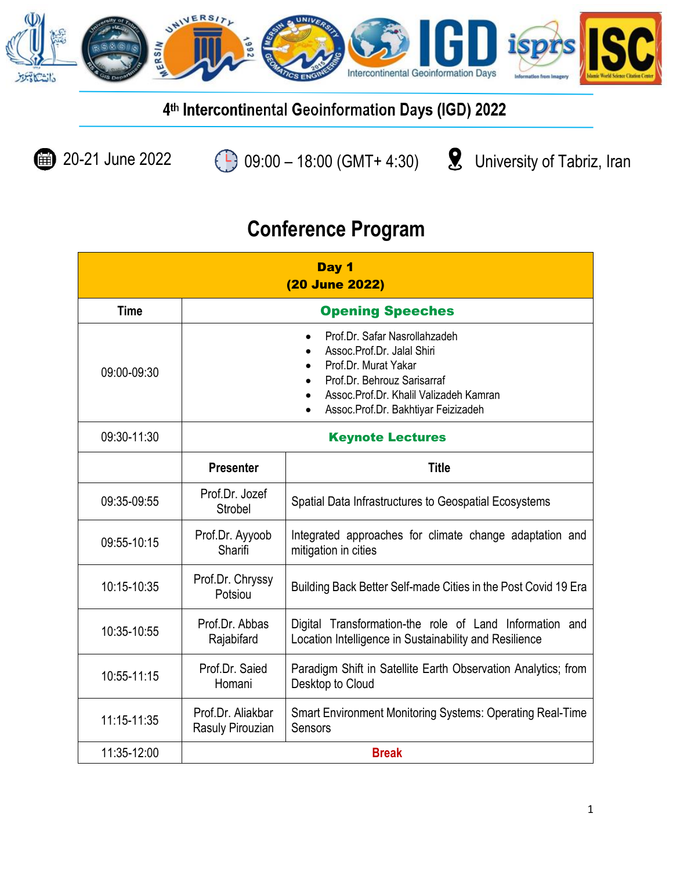

**1** 20-21 June 2022 **09:00** – 18:00 (GMT+ 4:30) <br> **9** University of Tabriz, Iran

| Day 1<br>(20 June 2022) |                                       |                                                                                                                                                                                                                  |
|-------------------------|---------------------------------------|------------------------------------------------------------------------------------------------------------------------------------------------------------------------------------------------------------------|
| <b>Time</b>             |                                       | <b>Opening Speeches</b>                                                                                                                                                                                          |
| 09:00-09:30             |                                       | Prof.Dr. Safar Nasrollahzadeh<br>$\bullet$<br>Assoc.Prof.Dr. Jalal Shiri<br>Prof.Dr. Murat Yakar<br>Prof.Dr. Behrouz Sarisarraf<br>Assoc.Prof.Dr. Khalil Valizadeh Kamran<br>Assoc.Prof.Dr. Bakhtiyar Feizizadeh |
| 09:30-11:30             | <b>Keynote Lectures</b>               |                                                                                                                                                                                                                  |
|                         | <b>Presenter</b>                      | <b>Title</b>                                                                                                                                                                                                     |
| 09:35-09:55             | Prof.Dr. Jozef<br>Strobel             | Spatial Data Infrastructures to Geospatial Ecosystems                                                                                                                                                            |
| 09:55-10:15             | Prof.Dr. Ayyoob<br>Sharifi            | Integrated approaches for climate change adaptation and<br>mitigation in cities                                                                                                                                  |
| 10:15-10:35             | Prof.Dr. Chryssy<br>Potsiou           | Building Back Better Self-made Cities in the Post Covid 19 Era                                                                                                                                                   |
| 10:35-10:55             | Prof.Dr. Abbas<br>Rajabifard          | Digital Transformation-the role of Land Information and<br>Location Intelligence in Sustainability and Resilience                                                                                                |
| 10:55-11:15             | Prof.Dr. Saied<br>Homani              | Paradigm Shift in Satellite Earth Observation Analytics; from<br>Desktop to Cloud                                                                                                                                |
| $11:15 - 11:35$         | Prof.Dr. Aliakbar<br>Rasuly Pirouzian | Smart Environment Monitoring Systems: Operating Real-Time<br>Sensors                                                                                                                                             |
| 11:35-12:00             |                                       | <b>Break</b>                                                                                                                                                                                                     |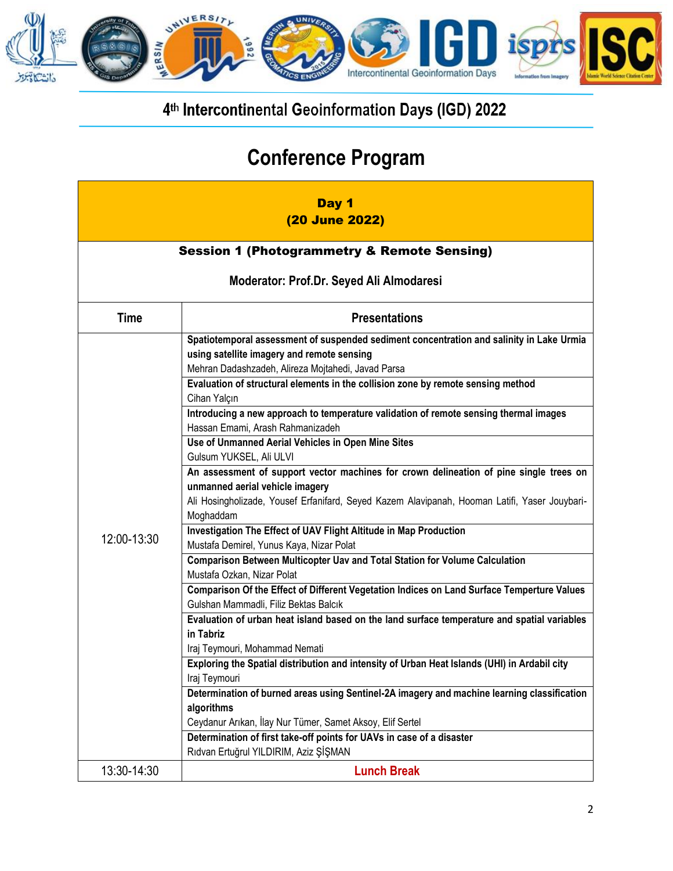

| Day 1<br>(20 June 2022)                  |                                                                                                               |  |  |
|------------------------------------------|---------------------------------------------------------------------------------------------------------------|--|--|
|                                          | <b>Session 1 (Photogrammetry &amp; Remote Sensing)</b>                                                        |  |  |
| Moderator: Prof.Dr. Seyed Ali Almodaresi |                                                                                                               |  |  |
| <b>Time</b>                              | <b>Presentations</b>                                                                                          |  |  |
|                                          | Spatiotemporal assessment of suspended sediment concentration and salinity in Lake Urmia                      |  |  |
|                                          | using satellite imagery and remote sensing                                                                    |  |  |
|                                          | Mehran Dadashzadeh, Alireza Mojtahedi, Javad Parsa                                                            |  |  |
|                                          | Evaluation of structural elements in the collision zone by remote sensing method<br>Cihan Yalcın              |  |  |
|                                          | Introducing a new approach to temperature validation of remote sensing thermal images                         |  |  |
|                                          | Hassan Emami, Arash Rahmanizadeh                                                                              |  |  |
|                                          | Use of Unmanned Aerial Vehicles in Open Mine Sites<br>Gulsum YUKSEL, Ali ULVI                                 |  |  |
|                                          | An assessment of support vector machines for crown delineation of pine single trees on                        |  |  |
|                                          | unmanned aerial vehicle imagery                                                                               |  |  |
|                                          | Ali Hosingholizade, Yousef Erfanifard, Seyed Kazem Alavipanah, Hooman Latifi, Yaser Jouybari-<br>Moghaddam    |  |  |
| 12:00-13:30                              | Investigation The Effect of UAV Flight Altitude in Map Production<br>Mustafa Demirel, Yunus Kaya, Nizar Polat |  |  |
|                                          | Comparison Between Multicopter Uav and Total Station for Volume Calculation                                   |  |  |
|                                          | Mustafa Ozkan, Nizar Polat                                                                                    |  |  |
|                                          | Comparison Of the Effect of Different Vegetation Indices on Land Surface Temperture Values                    |  |  |
|                                          | Gulshan Mammadli, Filiz Bektas Balcık                                                                         |  |  |
|                                          | Evaluation of urban heat island based on the land surface temperature and spatial variables<br>in Tabriz      |  |  |
|                                          | Iraj Teymouri, Mohammad Nemati                                                                                |  |  |
|                                          | Exploring the Spatial distribution and intensity of Urban Heat Islands (UHI) in Ardabil city                  |  |  |
|                                          | Iraj Teymouri                                                                                                 |  |  |
|                                          | Determination of burned areas using Sentinel-2A imagery and machine learning classification                   |  |  |
|                                          | algorithms                                                                                                    |  |  |
|                                          | Ceydanur Arıkan, İlay Nur Tümer, Samet Aksoy, Elif Sertel                                                     |  |  |
|                                          | Determination of first take-off points for UAVs in case of a disaster                                         |  |  |
|                                          | Rıdvan Ertuğrul YILDIRIM, Aziz ŞİŞMAN                                                                         |  |  |
| 13:30-14:30                              | <b>Lunch Break</b>                                                                                            |  |  |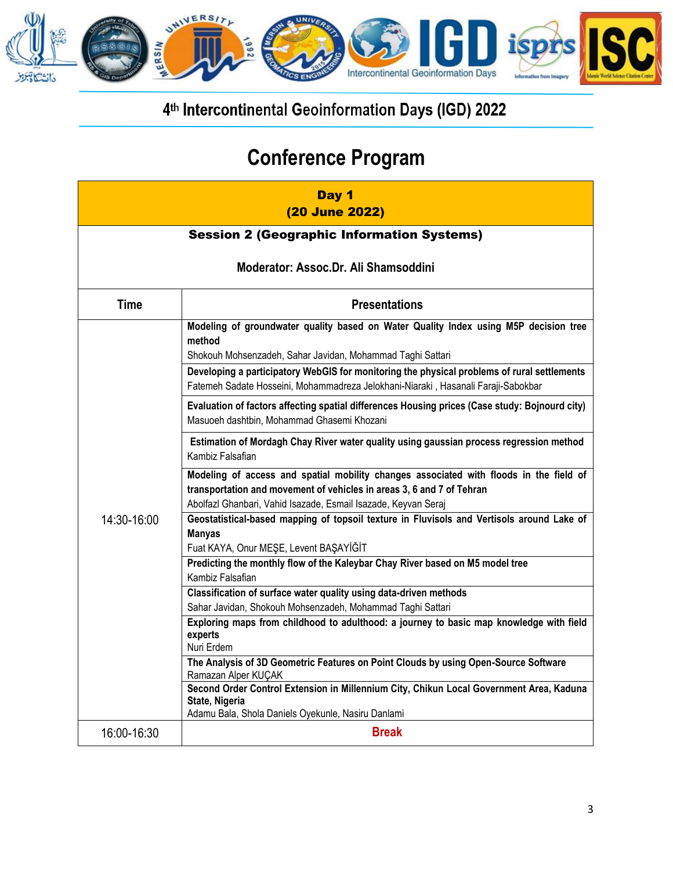

| Day 1<br>(20 June 2022)                           |                                                                                                                                                                                                                                   |  |
|---------------------------------------------------|-----------------------------------------------------------------------------------------------------------------------------------------------------------------------------------------------------------------------------------|--|
| <b>Session 2 (Geographic Information Systems)</b> |                                                                                                                                                                                                                                   |  |
| Moderator: Assoc.Dr. Ali Shamsoddini              |                                                                                                                                                                                                                                   |  |
| <b>Time</b>                                       | <b>Presentations</b>                                                                                                                                                                                                              |  |
|                                                   | Modeling of groundwater quality based on Water Quality Index using M5P decision tree<br>method<br>Shokouh Mohsenzadeh, Sahar Javidan, Mohammad Taghi Sattari                                                                      |  |
|                                                   | Developing a participatory WebGIS for monitoring the physical problems of rural settlements<br>Fatemeh Sadate Hosseini, Mohammadreza Jelokhani-Niaraki, Hasanali Faraji-Sabokbar                                                  |  |
| 14:30-16:00                                       | Evaluation of factors affecting spatial differences Housing prices (Case study: Bojnourd city)<br>Masuoeh dashtbin, Mohammad Ghasemi Khozani                                                                                      |  |
|                                                   | Estimation of Mordagh Chay River water quality using gaussian process regression method<br>Kambiz Falsafian                                                                                                                       |  |
|                                                   | Modeling of access and spatial mobility changes associated with floods in the field of<br>transportation and movement of vehicles in areas 3, 6 and 7 of Tehran<br>Abolfazl Ghanbari, Vahid Isazade, Esmail Isazade, Keyvan Seraj |  |
|                                                   | Geostatistical-based mapping of topsoil texture in Fluvisols and Vertisols around Lake of<br><b>Manyas</b><br>Fuat KAYA, Onur MEŞE, Levent BAŞAYİĞİT                                                                              |  |
|                                                   | Predicting the monthly flow of the Kaleybar Chay River based on M5 model tree<br>Kambiz Falsafian                                                                                                                                 |  |
|                                                   | Classification of surface water quality using data-driven methods<br>Sahar Javidan, Shokouh Mohsenzadeh, Mohammad Taghi Sattari                                                                                                   |  |
|                                                   | Exploring maps from childhood to adulthood: a journey to basic map knowledge with field<br>experts<br>Nuri Erdem                                                                                                                  |  |
|                                                   | The Analysis of 3D Geometric Features on Point Clouds by using Open-Source Software<br>Ramazan Alper KUÇAK                                                                                                                        |  |
|                                                   | Second Order Control Extension in Millennium City, Chikun Local Government Area, Kaduna<br>State, Nigeria<br>Adamu Bala, Shola Daniels Oyekunle, Nasiru Danlami                                                                   |  |
| 16:00-16:30                                       | <b>Break</b>                                                                                                                                                                                                                      |  |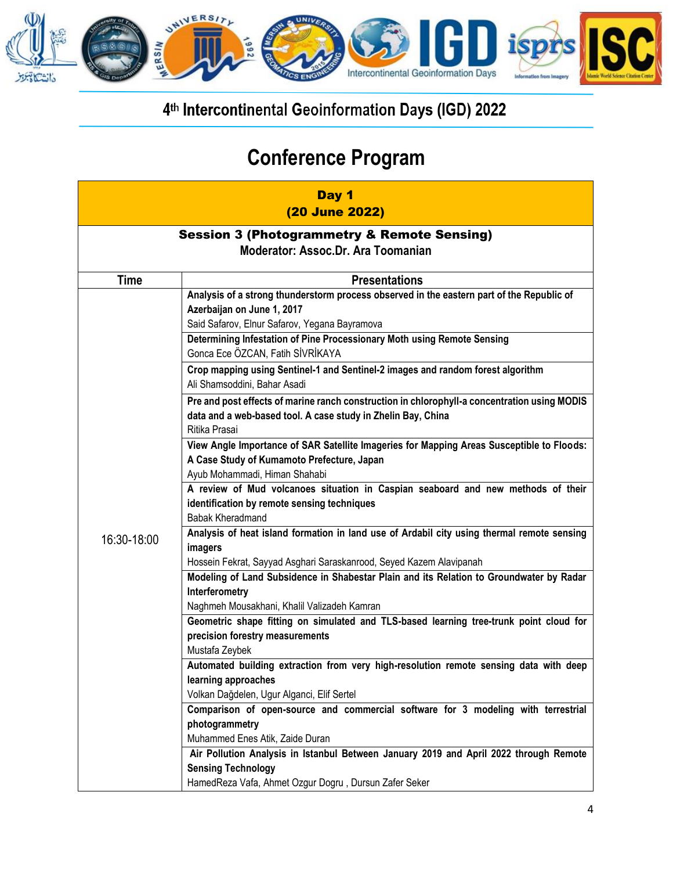

| Day 1<br>(20 June 2022)                                                                      |                                                                                                                                                                                                                                                                                         |  |
|----------------------------------------------------------------------------------------------|-----------------------------------------------------------------------------------------------------------------------------------------------------------------------------------------------------------------------------------------------------------------------------------------|--|
| <b>Session 3 (Photogrammetry &amp; Remote Sensing)</b><br>Moderator: Assoc.Dr. Ara Toomanian |                                                                                                                                                                                                                                                                                         |  |
| <b>Time</b>                                                                                  | <b>Presentations</b>                                                                                                                                                                                                                                                                    |  |
|                                                                                              | Analysis of a strong thunderstorm process observed in the eastern part of the Republic of<br>Azerbaijan on June 1, 2017<br>Said Safarov, Elnur Safarov, Yegana Bayramova<br>Determining Infestation of Pine Processionary Moth using Remote Sensing<br>Gonca Ece ÖZCAN, Fatih SİVRİKAYA |  |
|                                                                                              | Crop mapping using Sentinel-1 and Sentinel-2 images and random forest algorithm<br>Ali Shamsoddini, Bahar Asadi                                                                                                                                                                         |  |
|                                                                                              | Pre and post effects of marine ranch construction in chlorophyll-a concentration using MODIS<br>data and a web-based tool. A case study in Zhelin Bay, China<br>Ritika Prasai                                                                                                           |  |
|                                                                                              | View Angle Importance of SAR Satellite Imageries for Mapping Areas Susceptible to Floods:<br>A Case Study of Kumamoto Prefecture, Japan<br>Ayub Mohammadi, Himan Shahabi                                                                                                                |  |
|                                                                                              | A review of Mud volcanoes situation in Caspian seaboard and new methods of their<br>identification by remote sensing techniques<br>Babak Kheradmand                                                                                                                                     |  |
| 16:30-18:00                                                                                  | Analysis of heat island formation in land use of Ardabil city using thermal remote sensing<br>imagers                                                                                                                                                                                   |  |
|                                                                                              | Hossein Fekrat, Sayyad Asghari Saraskanrood, Seyed Kazem Alavipanah                                                                                                                                                                                                                     |  |
|                                                                                              | Modeling of Land Subsidence in Shabestar Plain and its Relation to Groundwater by Radar<br>Interferometry                                                                                                                                                                               |  |
|                                                                                              | Naghmeh Mousakhani, Khalil Valizadeh Kamran<br>Geometric shape fitting on simulated and TLS-based learning tree-trunk point cloud for                                                                                                                                                   |  |
|                                                                                              | precision forestry measurements                                                                                                                                                                                                                                                         |  |
|                                                                                              | Mustafa Zeybek                                                                                                                                                                                                                                                                          |  |
|                                                                                              | Automated building extraction from very high-resolution remote sensing data with deep                                                                                                                                                                                                   |  |
|                                                                                              | learning approaches                                                                                                                                                                                                                                                                     |  |
|                                                                                              | Volkan Dağdelen, Ugur Alganci, Elif Sertel                                                                                                                                                                                                                                              |  |
|                                                                                              | Comparison of open-source and commercial software for 3 modeling with terrestrial<br>photogrammetry                                                                                                                                                                                     |  |
|                                                                                              | Muhammed Enes Atik, Zaide Duran                                                                                                                                                                                                                                                         |  |
|                                                                                              | Air Pollution Analysis in Istanbul Between January 2019 and April 2022 through Remote                                                                                                                                                                                                   |  |
|                                                                                              | <b>Sensing Technology</b>                                                                                                                                                                                                                                                               |  |
|                                                                                              | HamedReza Vafa, Ahmet Ozgur Dogru, Dursun Zafer Seker                                                                                                                                                                                                                                   |  |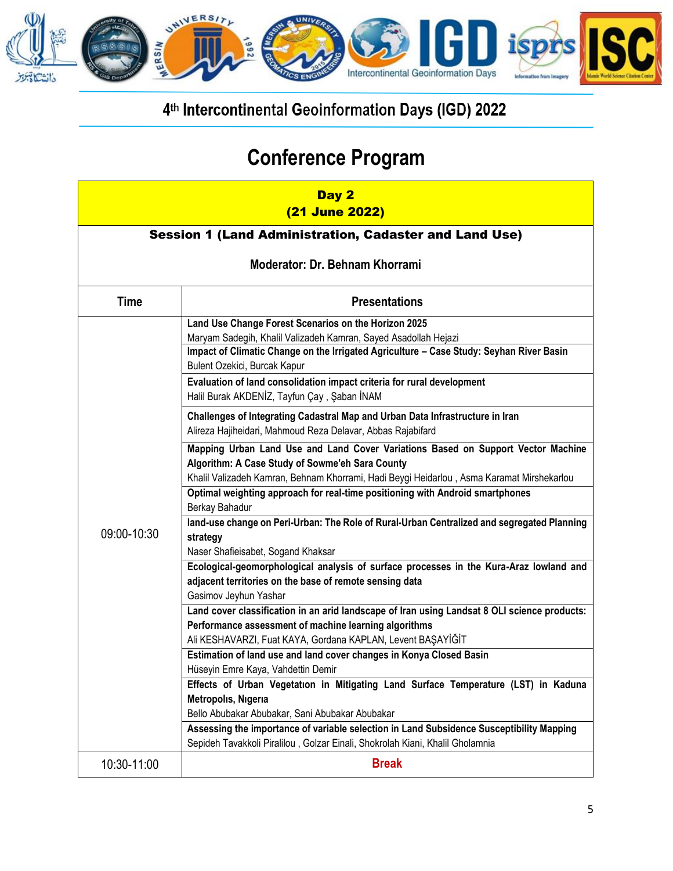

| Day 2<br>(21 June 2022)                                |                                                                                                                                                                                                                                                    |  |
|--------------------------------------------------------|----------------------------------------------------------------------------------------------------------------------------------------------------------------------------------------------------------------------------------------------------|--|
| Session 1 (Land Administration, Cadaster and Land Use) |                                                                                                                                                                                                                                                    |  |
| Moderator: Dr. Behnam Khorrami                         |                                                                                                                                                                                                                                                    |  |
| <b>Time</b>                                            | <b>Presentations</b>                                                                                                                                                                                                                               |  |
|                                                        | Land Use Change Forest Scenarios on the Horizon 2025<br>Maryam Sadegih, Khalil Valizadeh Kamran, Sayed Asadollah Hejazi<br>Impact of Climatic Change on the Irrigated Agriculture - Case Study: Seyhan River Basin<br>Bulent Ozekici, Burcak Kapur |  |
|                                                        | Evaluation of land consolidation impact criteria for rural development<br>Halil Burak AKDENİZ, Tayfun Çay, Şaban İNAM                                                                                                                              |  |
|                                                        | Challenges of Integrating Cadastral Map and Urban Data Infrastructure in Iran<br>Alireza Hajiheidari, Mahmoud Reza Delavar, Abbas Rajabifard                                                                                                       |  |
|                                                        | Mapping Urban Land Use and Land Cover Variations Based on Support Vector Machine<br>Algorithm: A Case Study of Sowme'eh Sara County<br>Khalil Valizadeh Kamran, Behnam Khorrami, Hadi Beygi Heidarlou, Asma Karamat Mirshekarlou                   |  |
|                                                        | Optimal weighting approach for real-time positioning with Android smartphones<br>Berkay Bahadur                                                                                                                                                    |  |
| 09:00-10:30                                            | land-use change on Peri-Urban: The Role of Rural-Urban Centralized and segregated Planning<br>strategy<br>Naser Shafieisabet, Sogand Khaksar                                                                                                       |  |
|                                                        | Ecological-geomorphological analysis of surface processes in the Kura-Araz lowland and<br>adjacent territories on the base of remote sensing data<br>Gasimov Jeyhun Yashar                                                                         |  |
|                                                        | Land cover classification in an arid landscape of Iran using Landsat 8 OLI science products:<br>Performance assessment of machine learning algorithms<br>Ali KESHAVARZI, Fuat KAYA, Gordana KAPLAN, Levent BAŞAYİĞİT                               |  |
|                                                        | Estimation of land use and land cover changes in Konya Closed Basin<br>Hüseyin Emre Kaya, Vahdettin Demir                                                                                                                                          |  |
|                                                        | Effects of Urban Vegetation in Mitigating Land Surface Temperature (LST) in Kaduna<br>Metropolis, Nigeria                                                                                                                                          |  |
|                                                        | Bello Abubakar Abubakar, Sani Abubakar Abubakar<br>Assessing the importance of variable selection in Land Subsidence Susceptibility Mapping<br>Sepideh Tavakkoli Piralilou, Golzar Einali, Shokrolah Kiani, Khalil Gholamnia                       |  |
| 10:30-11:00                                            | <b>Break</b>                                                                                                                                                                                                                                       |  |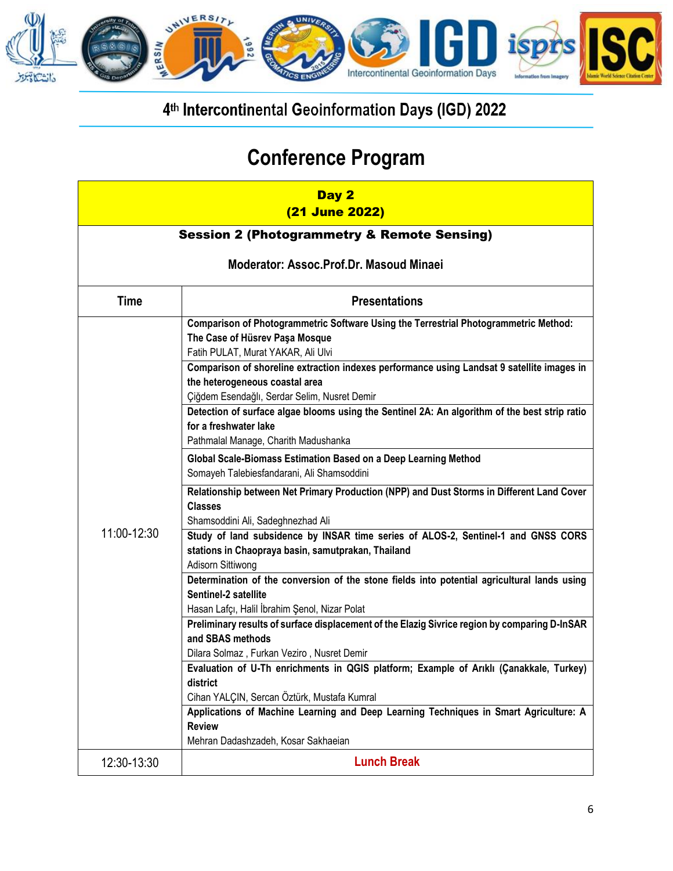

| Day 2<br>(21 June 2022)                 |                                                                                                                                                                              |  |  |
|-----------------------------------------|------------------------------------------------------------------------------------------------------------------------------------------------------------------------------|--|--|
|                                         | <b>Session 2 (Photogrammetry &amp; Remote Sensing)</b>                                                                                                                       |  |  |
| Moderator: Assoc.Prof.Dr. Masoud Minaei |                                                                                                                                                                              |  |  |
| <b>Time</b>                             | <b>Presentations</b>                                                                                                                                                         |  |  |
|                                         | Comparison of Photogrammetric Software Using the Terrestrial Photogrammetric Method:<br>The Case of Hüsrev Paşa Mosque<br>Fatih PULAT, Murat YAKAR, Ali Ulvi                 |  |  |
|                                         | Comparison of shoreline extraction indexes performance using Landsat 9 satellite images in<br>the heterogeneous coastal area<br>Çiğdem Esendağlı, Serdar Selim, Nusret Demir |  |  |
|                                         | Detection of surface algae blooms using the Sentinel 2A: An algorithm of the best strip ratio<br>for a freshwater lake<br>Pathmalal Manage, Charith Madushanka               |  |  |
|                                         | Global Scale-Biomass Estimation Based on a Deep Learning Method<br>Somayeh Talebiesfandarani, Ali Shamsoddini                                                                |  |  |
|                                         | Relationship between Net Primary Production (NPP) and Dust Storms in Different Land Cover<br><b>Classes</b><br>Shamsoddini Ali, Sadeghnezhad Ali                             |  |  |
| 11:00-12:30                             | Study of land subsidence by INSAR time series of ALOS-2, Sentinel-1 and GNSS CORS<br>stations in Chaopraya basin, samutprakan, Thailand<br>Adisorn Sittiwong                 |  |  |
|                                         | Determination of the conversion of the stone fields into potential agricultural lands using<br>Sentinel-2 satellite                                                          |  |  |
|                                         | Hasan Lafçı, Halil İbrahim Şenol, Nizar Polat<br>Preliminary results of surface displacement of the Elazig Sivrice region by comparing D-InSAR<br>and SBAS methods           |  |  |
|                                         | Dilara Solmaz, Furkan Veziro, Nusret Demir<br>Evaluation of U-Th enrichments in QGIS platform; Example of Ariklı (Çanakkale, Turkey)                                         |  |  |
|                                         | district<br>Cihan YALÇIN, Sercan Öztürk, Mustafa Kumral                                                                                                                      |  |  |
|                                         | Applications of Machine Learning and Deep Learning Techniques in Smart Agriculture: A<br><b>Review</b>                                                                       |  |  |
|                                         | Mehran Dadashzadeh, Kosar Sakhaeian                                                                                                                                          |  |  |
| 12:30-13:30                             | <b>Lunch Break</b>                                                                                                                                                           |  |  |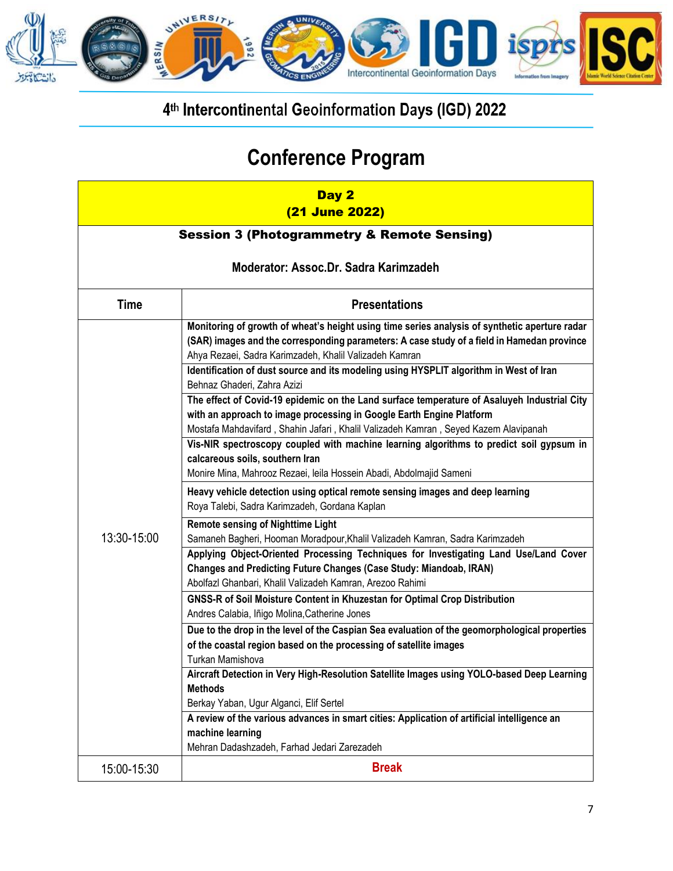

| Day 2<br>(21 June 2022)                                |                                                                                                                                                                                                                                                                                                                                                                                                                         |  |
|--------------------------------------------------------|-------------------------------------------------------------------------------------------------------------------------------------------------------------------------------------------------------------------------------------------------------------------------------------------------------------------------------------------------------------------------------------------------------------------------|--|
| <b>Session 3 (Photogrammetry &amp; Remote Sensing)</b> |                                                                                                                                                                                                                                                                                                                                                                                                                         |  |
| Moderator: Assoc.Dr. Sadra Karimzadeh                  |                                                                                                                                                                                                                                                                                                                                                                                                                         |  |
| <b>Time</b>                                            | <b>Presentations</b>                                                                                                                                                                                                                                                                                                                                                                                                    |  |
| 13:30-15:00                                            | Monitoring of growth of wheat's height using time series analysis of synthetic aperture radar<br>(SAR) images and the corresponding parameters: A case study of a field in Hamedan province<br>Ahya Rezaei, Sadra Karimzadeh, Khalil Valizadeh Kamran<br>Identification of dust source and its modeling using HYSPLIT algorithm in West of Iran                                                                         |  |
|                                                        | Behnaz Ghaderi, Zahra Azizi<br>The effect of Covid-19 epidemic on the Land surface temperature of Asaluyeh Industrial City<br>with an approach to image processing in Google Earth Engine Platform<br>Mostafa Mahdavifard, Shahin Jafari, Khalil Valizadeh Kamran, Seyed Kazem Alavipanah<br>Vis-NIR spectroscopy coupled with machine learning algorithms to predict soil gypsum in<br>calcareous soils, southern Iran |  |
|                                                        | Monire Mina, Mahrooz Rezaei, leila Hossein Abadi, Abdolmajid Sameni<br>Heavy vehicle detection using optical remote sensing images and deep learning<br>Roya Talebi, Sadra Karimzadeh, Gordana Kaplan                                                                                                                                                                                                                   |  |
|                                                        | <b>Remote sensing of Nighttime Light</b><br>Samaneh Bagheri, Hooman Moradpour, Khalil Valizadeh Kamran, Sadra Karimzadeh<br>Applying Object-Oriented Processing Techniques for Investigating Land Use/Land Cover<br>Changes and Predicting Future Changes (Case Study: Miandoab, IRAN)<br>Abolfazl Ghanbari, Khalil Valizadeh Kamran, Arezoo Rahimi                                                                     |  |
|                                                        | GNSS-R of Soil Moisture Content in Khuzestan for Optimal Crop Distribution<br>Andres Calabia, Iñigo Molina, Catherine Jones                                                                                                                                                                                                                                                                                             |  |
|                                                        | Due to the drop in the level of the Caspian Sea evaluation of the geomorphological properties<br>of the coastal region based on the processing of satellite images<br>Turkan Mamishova                                                                                                                                                                                                                                  |  |
|                                                        | Aircraft Detection in Very High-Resolution Satellite Images using YOLO-based Deep Learning<br><b>Methods</b><br>Berkay Yaban, Ugur Alganci, Elif Sertel                                                                                                                                                                                                                                                                 |  |
|                                                        | A review of the various advances in smart cities: Application of artificial intelligence an<br>machine learning<br>Mehran Dadashzadeh, Farhad Jedari Zarezadeh                                                                                                                                                                                                                                                          |  |
| 15:00-15:30                                            | <b>Break</b>                                                                                                                                                                                                                                                                                                                                                                                                            |  |